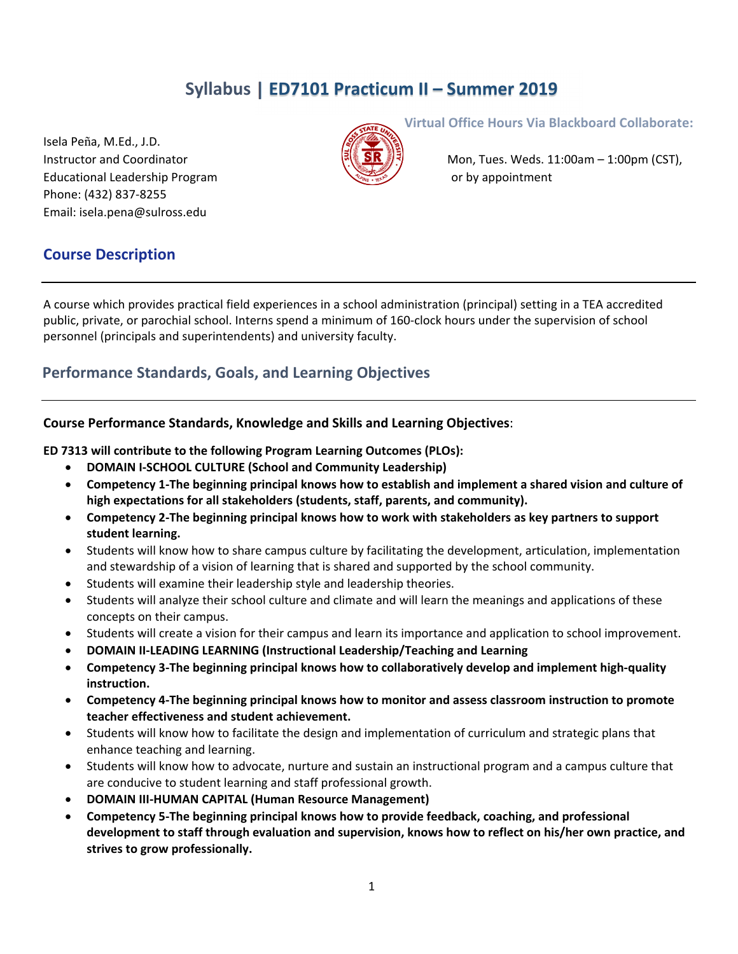# **Syllabus | ED7101 Practicum II – Summer 2019**

Isela Peña, M.Ed., J.D. Educational Leadership Program  $\overbrace{\mathcal{C}^{S_{\mathcal{R}_{\mathcal{R}_{\mathcal{R}}}}\setminus\mathcal{R}_{\mathcal{R}}}}^{\mathcal{R}_{\mathcal{R}_{\mathcal{R}}}}$  or by appointment Phone: (432) 837‐8255 Email: isela.pena@sulross.edu



**Virtual Office Hours Via Blackboard Collaborate:**

Instructor and Coordinator Monetable Mon, Tues. Weds. 11:00am – 1:00pm (CST),

### **Course Description**

A course which provides practical field experiences in a school administration (principal) setting in a TEA accredited public, private, or parochial school. Interns spend a minimum of 160‐clock hours under the supervision of school personnel (principals and superintendents) and university faculty.

### **Performance Standards, Goals, and Learning Objectives**

#### **Course Performance Standards, Knowledge and Skills and Learning Objectives**:

**ED 7313 will contribute to the following Program Learning Outcomes (PLOs):**

- **DOMAIN I‐SCHOOL CULTURE (School and Community Leadership)**
- Competency 1-The beginning principal knows how to establish and implement a shared vision and culture of **high expectations for all stakeholders (students, staff, parents, and community).**
- **Competency 2‐The beginning principal knows how to work with stakeholders as key partners to support student learning.**
- Students will know how to share campus culture by facilitating the development, articulation, implementation and stewardship of a vision of learning that is shared and supported by the school community.
- Students will examine their leadership style and leadership theories.
- Students will analyze their school culture and climate and will learn the meanings and applications of these concepts on their campus.
- Students will create a vision for their campus and learn its importance and application to school improvement.
- **DOMAIN II‐LEADING LEARNING (Instructional Leadership/Teaching and Learning**
- **Competency 3‐The beginning principal knows how to collaboratively develop and implement high‐quality instruction.**
- **Competency 4‐The beginning principal knows how to monitor and assess classroom instruction to promote teacher effectiveness and student achievement.**
- Students will know how to facilitate the design and implementation of curriculum and strategic plans that enhance teaching and learning.
- Students will know how to advocate, nurture and sustain an instructional program and a campus culture that are conducive to student learning and staff professional growth.
- **DOMAIN III‐HUMAN CAPITAL (Human Resource Management)**
- **Competency 5‐The beginning principal knows how to provide feedback, coaching, and professional development to staff through evaluation and supervision, knows how to reflect on his/her own practice, and strives to grow professionally.**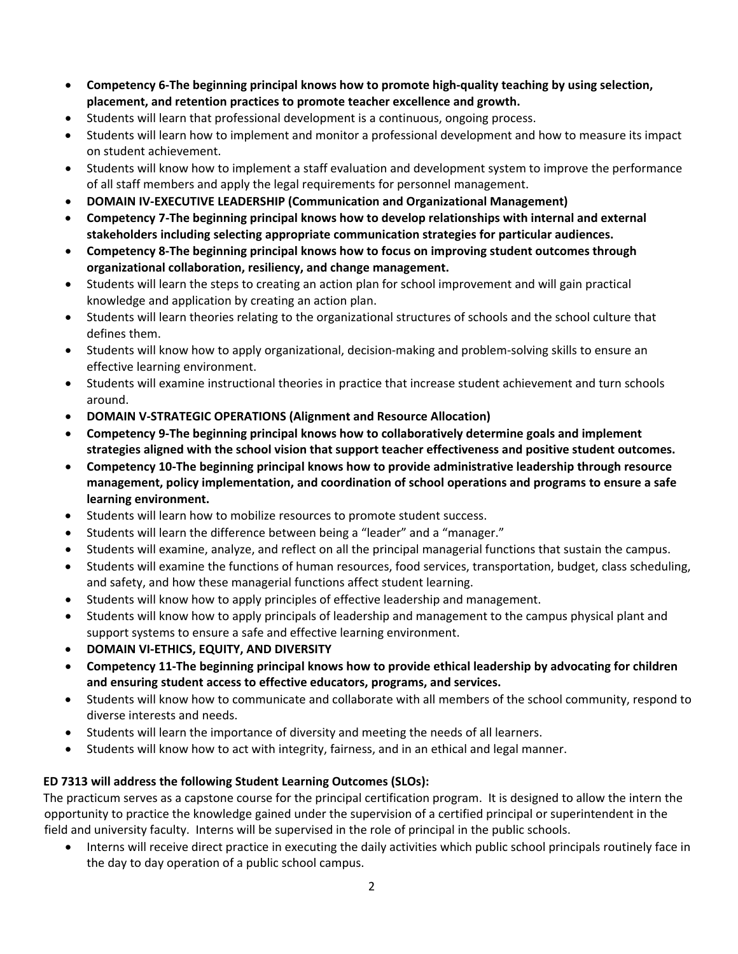- **Competency 6‐The beginning principal knows how to promote high‐quality teaching by using selection, placement, and retention practices to promote teacher excellence and growth.**
- Students will learn that professional development is a continuous, ongoing process.
- Students will learn how to implement and monitor a professional development and how to measure its impact on student achievement.
- Students will know how to implement a staff evaluation and development system to improve the performance of all staff members and apply the legal requirements for personnel management.
- **DOMAIN IV‐EXECUTIVE LEADERSHIP (Communication and Organizational Management)**
- **Competency 7‐The beginning principal knows how to develop relationships with internal and external stakeholders including selecting appropriate communication strategies for particular audiences.**
- **Competency 8‐The beginning principal knows how to focus on improving student outcomes through organizational collaboration, resiliency, and change management.**
- Students will learn the steps to creating an action plan for school improvement and will gain practical knowledge and application by creating an action plan.
- Students will learn theories relating to the organizational structures of schools and the school culture that defines them.
- Students will know how to apply organizational, decision-making and problem-solving skills to ensure an effective learning environment.
- Students will examine instructional theories in practice that increase student achievement and turn schools around.
- **DOMAIN V‐STRATEGIC OPERATIONS (Alignment and Resource Allocation)**
- **Competency 9‐The beginning principal knows how to collaboratively determine goals and implement strategies aligned with the school vision that support teacher effectiveness and positive student outcomes.**
- **Competency 10‐The beginning principal knows how to provide administrative leadership through resource management, policy implementation, and coordination of school operations and programs to ensure a safe learning environment.**
- Students will learn how to mobilize resources to promote student success.
- Students will learn the difference between being a "leader" and a "manager."
- Students will examine, analyze, and reflect on all the principal managerial functions that sustain the campus.
- Students will examine the functions of human resources, food services, transportation, budget, class scheduling, and safety, and how these managerial functions affect student learning.
- Students will know how to apply principles of effective leadership and management.
- Students will know how to apply principals of leadership and management to the campus physical plant and support systems to ensure a safe and effective learning environment.
- **DOMAIN VI‐ETHICS, EQUITY, AND DIVERSITY**
- **Competency 11‐The beginning principal knows how to provide ethical leadership by advocating for children and ensuring student access to effective educators, programs, and services.**
- Students will know how to communicate and collaborate with all members of the school community, respond to diverse interests and needs.
- Students will learn the importance of diversity and meeting the needs of all learners.
- Students will know how to act with integrity, fairness, and in an ethical and legal manner.

### **ED 7313 will address the following Student Learning Outcomes (SLOs):**

The practicum serves as a capstone course for the principal certification program. It is designed to allow the intern the opportunity to practice the knowledge gained under the supervision of a certified principal or superintendent in the field and university faculty. Interns will be supervised in the role of principal in the public schools.

 Interns will receive direct practice in executing the daily activities which public school principals routinely face in the day to day operation of a public school campus.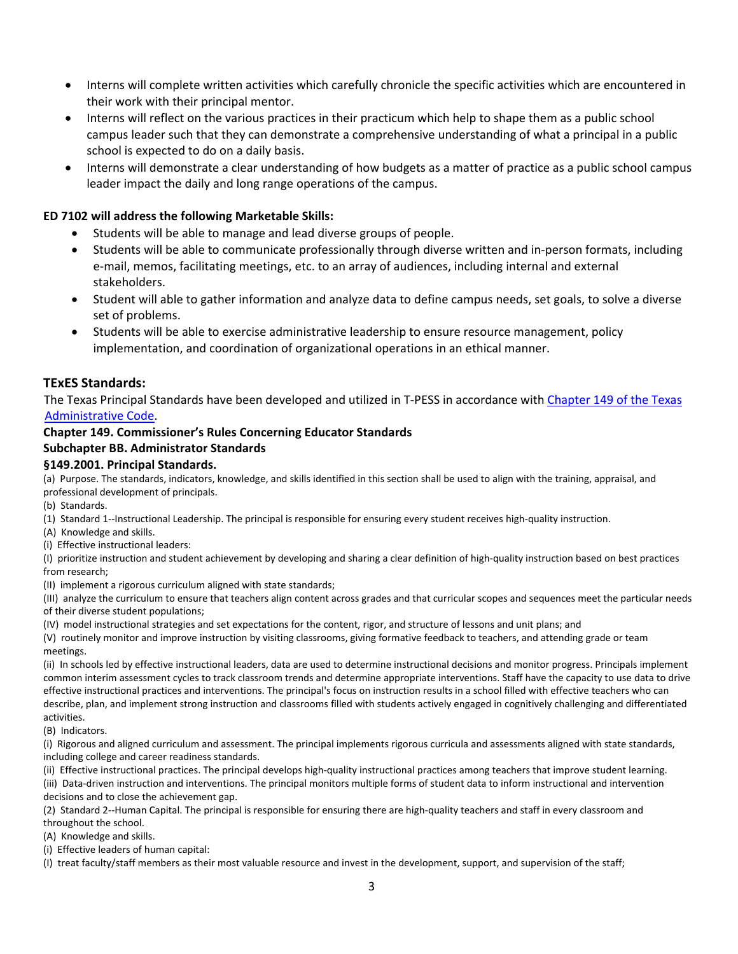- Interns will complete written activities which carefully chronicle the specific activities which are encountered in their work with their principal mentor.
- Interns will reflect on the various practices in their practicum which help to shape them as a public school campus leader such that they can demonstrate a comprehensive understanding of what a principal in a public school is expected to do on a daily basis.
- Interns will demonstrate a clear understanding of how budgets as a matter of practice as a public school campus leader impact the daily and long range operations of the campus.

#### **ED 7102 will address the following Marketable Skills:**

- Students will be able to manage and lead diverse groups of people.
- Students will be able to communicate professionally through diverse written and in-person formats, including e‐mail, memos, facilitating meetings, etc. to an array of audiences, including internal and external stakeholders.
- Student will able to gather information and analyze data to define campus needs, set goals, to solve a diverse set of problems.
- Students will be able to exercise administrative leadership to ensure resource management, policy implementation, and coordination of organizational operations in an ethical manner.

#### **TExES Standards:**

The Texas Principal Standards have been developed and utilized in T‐PESS in accordance with Chapter 149 of the Texas Administrative Code.

#### **Chapter 149. Commissioner's Rules Concerning Educator Standards**

#### **Subchapter BB. Administrator Standards**

#### **§149.2001. Principal Standards.**

(a) Purpose. The standards, indicators, knowledge, and skills identified in this section shall be used to align with the training, appraisal, and professional development of principals.

(b) Standards.

(1) Standard 1‐‐Instructional Leadership. The principal is responsible for ensuring every student receives high‐quality instruction.

(A) Knowledge and skills.

(i) Effective instructional leaders:

(I) prioritize instruction and student achievement by developing and sharing a clear definition of high‐quality instruction based on best practices from research;

(II) implement a rigorous curriculum aligned with state standards;

(III) analyze the curriculum to ensure that teachers align content across grades and that curricular scopes and sequences meet the particular needs of their diverse student populations;

(IV) model instructional strategies and set expectations for the content, rigor, and structure of lessons and unit plans; and

(V) routinely monitor and improve instruction by visiting classrooms, giving formative feedback to teachers, and attending grade or team meetings.

(ii) In schools led by effective instructional leaders, data are used to determine instructional decisions and monitor progress. Principals implement common interim assessment cycles to track classroom trends and determine appropriate interventions. Staff have the capacity to use data to drive effective instructional practices and interventions. The principal's focus on instruction results in a school filled with effective teachers who can describe, plan, and implement strong instruction and classrooms filled with students actively engaged in cognitively challenging and differentiated activities.

(B) Indicators.

(i) Rigorous and aligned curriculum and assessment. The principal implements rigorous curricula and assessments aligned with state standards, including college and career readiness standards.

(ii) Effective instructional practices. The principal develops high‐quality instructional practices among teachers that improve student learning. (iii) Data‐driven instruction and interventions. The principal monitors multiple forms of student data to inform instructional and intervention decisions and to close the achievement gap.

(2) Standard 2‐‐Human Capital. The principal is responsible for ensuring there are high‐quality teachers and staff in every classroom and throughout the school.

(A) Knowledge and skills.

(i) Effective leaders of human capital:

(I) treat faculty/staff members as their most valuable resource and invest in the development, support, and supervision of the staff;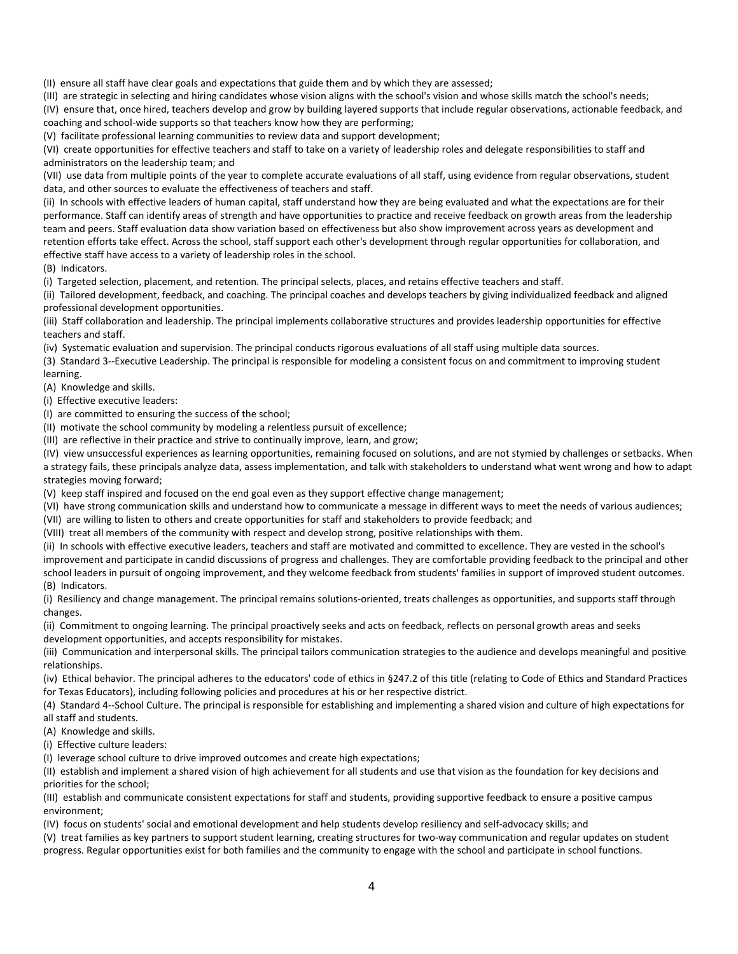(II) ensure all staff have clear goals and expectations that guide them and by which they are assessed;

(III) are strategic in selecting and hiring candidates whose vision aligns with the school's vision and whose skills match the school's needs;

(IV) ensure that, once hired, teachers develop and grow by building layered supports that include regular observations, actionable feedback, and coaching and school-wide supports so that teachers know how they are performing;

(V) facilitate professional learning communities to review data and support development;

(VI) create opportunities for effective teachers and staff to take on a variety of leadership roles and delegate responsibilities to staff and administrators on the leadership team; and

(VII) use data from multiple points of the year to complete accurate evaluations of all staff, using evidence from regular observations, student data, and other sources to evaluate the effectiveness of teachers and staff.

(ii) In schools with effective leaders of human capital, staff understand how they are being evaluated and what the expectations are for their performance. Staff can identify areas of strength and have opportunities to practice and receive feedback on growth areas from the leadership team and peers. Staff evaluation data show variation based on effectiveness but also show improvement across years as development and retention efforts take effect. Across the school, staff support each other's development through regular opportunities for collaboration, and effective staff have access to a variety of leadership roles in the school.

(B) Indicators.

(i) Targeted selection, placement, and retention. The principal selects, places, and retains effective teachers and staff.

(ii) Tailored development, feedback, and coaching. The principal coaches and develops teachers by giving individualized feedback and aligned professional development opportunities.

(iii) Staff collaboration and leadership. The principal implements collaborative structures and provides leadership opportunities for effective teachers and staff.

(iv) Systematic evaluation and supervision. The principal conducts rigorous evaluations of all staff using multiple data sources.

(3) Standard 3‐‐Executive Leadership. The principal is responsible for modeling a consistent focus on and commitment to improving student learning.

(A) Knowledge and skills.

(i) Effective executive leaders:

(I) are committed to ensuring the success of the school;

(II) motivate the school community by modeling a relentless pursuit of excellence;

(III) are reflective in their practice and strive to continually improve, learn, and grow;

(IV) view unsuccessful experiences as learning opportunities, remaining focused on solutions, and are not stymied by challenges or setbacks. When a strategy fails, these principals analyze data, assess implementation, and talk with stakeholders to understand what went wrong and how to adapt strategies moving forward;

(V) keep staff inspired and focused on the end goal even as they support effective change management;

(VI) have strong communication skills and understand how to communicate a message in different ways to meet the needs of various audiences;

(VII) are willing to listen to others and create opportunities for staff and stakeholders to provide feedback; and

(VIII) treat all members of the community with respect and develop strong, positive relationships with them.

(ii) In schools with effective executive leaders, teachers and staff are motivated and committed to excellence. They are vested in the school's improvement and participate in candid discussions of progress and challenges. They are comfortable providing feedback to the principal and other school leaders in pursuit of ongoing improvement, and they welcome feedback from students' families in support of improved student outcomes. (B) Indicators.

(i) Resiliency and change management. The principal remains solutions‐oriented, treats challenges as opportunities, and supports staff through changes.

(ii) Commitment to ongoing learning. The principal proactively seeks and acts on feedback, reflects on personal growth areas and seeks development opportunities, and accepts responsibility for mistakes.

(iii) Communication and interpersonal skills. The principal tailors communication strategies to the audience and develops meaningful and positive relationships.

(iv) Ethical behavior. The principal adheres to the educators' code of ethics in §247.2 of this title (relating to Code of Ethics and Standard Practices for Texas Educators), including following policies and procedures at his or her respective district.

(4) Standard 4‐‐School Culture. The principal is responsible for establishing and implementing a shared vision and culture of high expectations for all staff and students.

(A) Knowledge and skills.

(i) Effective culture leaders:

(I) leverage school culture to drive improved outcomes and create high expectations;

(II) establish and implement a shared vision of high achievement for all students and use that vision as the foundation for key decisions and priorities for the school;

(III) establish and communicate consistent expectations for staff and students, providing supportive feedback to ensure a positive campus environment;

(IV) focus on students' social and emotional development and help students develop resiliency and self‐advocacy skills; and

(V) treat families as key partners to support student learning, creating structures for two‐way communication and regular updates on student progress. Regular opportunities exist for both families and the community to engage with the school and participate in school functions.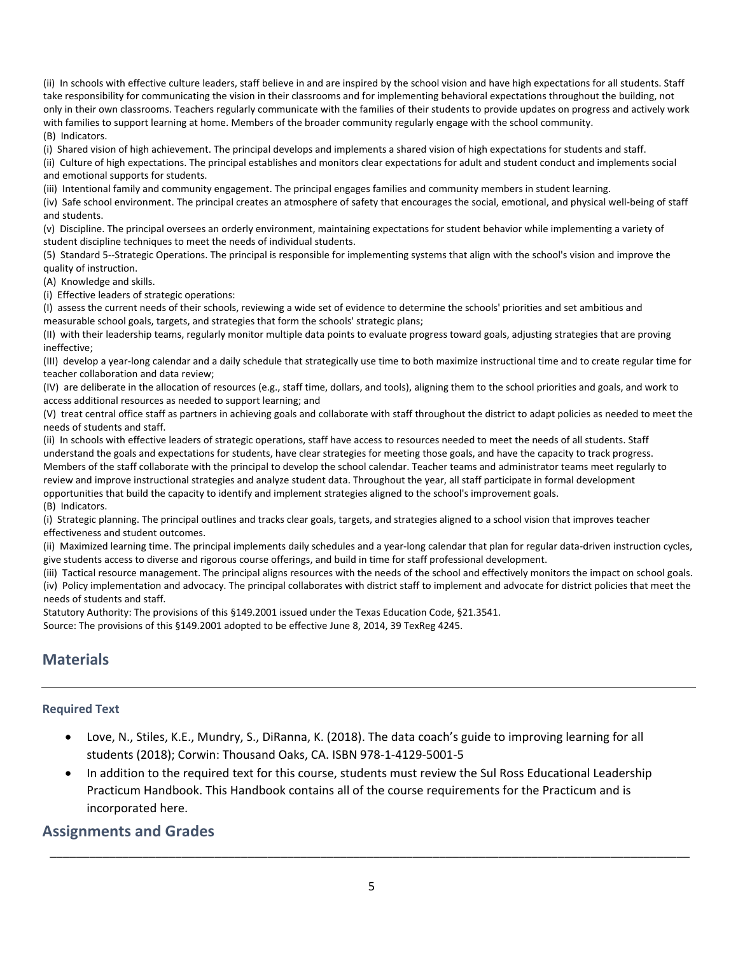(ii) In schools with effective culture leaders, staff believe in and are inspired by the school vision and have high expectations for all students. Staff take responsibility for communicating the vision in their classrooms and for implementing behavioral expectations throughout the building, not only in their own classrooms. Teachers regularly communicate with the families of their students to provide updates on progress and actively work with families to support learning at home. Members of the broader community regularly engage with the school community. (B) Indicators.

(i) Shared vision of high achievement. The principal develops and implements a shared vision of high expectations for students and staff.

(ii) Culture of high expectations. The principal establishes and monitors clear expectations for adult and student conduct and implements social and emotional supports for students.

(iii) Intentional family and community engagement. The principal engages families and community members in student learning.

(iv) Safe school environment. The principal creates an atmosphere of safety that encourages the social, emotional, and physical well‐being of staff and students.

(v) Discipline. The principal oversees an orderly environment, maintaining expectations for student behavior while implementing a variety of student discipline techniques to meet the needs of individual students.

(5) Standard 5‐‐Strategic Operations. The principal is responsible for implementing systems that align with the school's vision and improve the quality of instruction.

(A) Knowledge and skills.

(i) Effective leaders of strategic operations:

(I) assess the current needs of their schools, reviewing a wide set of evidence to determine the schools' priorities and set ambitious and measurable school goals, targets, and strategies that form the schools' strategic plans;

(II) with their leadership teams, regularly monitor multiple data points to evaluate progress toward goals, adjusting strategies that are proving ineffective;

(III) develop a year‐long calendar and a daily schedule that strategically use time to both maximize instructional time and to create regular time for teacher collaboration and data review;

(IV) are deliberate in the allocation of resources (e.g., staff time, dollars, and tools), aligning them to the school priorities and goals, and work to access additional resources as needed to support learning; and

(V) treat central office staff as partners in achieving goals and collaborate with staff throughout the district to adapt policies as needed to meet the needs of students and staff.

(ii) In schools with effective leaders of strategic operations, staff have access to resources needed to meet the needs of all students. Staff understand the goals and expectations for students, have clear strategies for meeting those goals, and have the capacity to track progress. Members of the staff collaborate with the principal to develop the school calendar. Teacher teams and administrator teams meet regularly to review and improve instructional strategies and analyze student data. Throughout the year, all staff participate in formal development opportunities that build the capacity to identify and implement strategies aligned to the school's improvement goals. (B) Indicators.

(i) Strategic planning. The principal outlines and tracks clear goals, targets, and strategies aligned to a school vision that improves teacher effectiveness and student outcomes.

(ii) Maximized learning time. The principal implements daily schedules and a year‐long calendar that plan for regular data‐driven instruction cycles, give students access to diverse and rigorous course offerings, and build in time for staff professional development.

(iii) Tactical resource management. The principal aligns resources with the needs of the school and effectively monitors the impact on school goals. (iv) Policy implementation and advocacy. The principal collaborates with district staff to implement and advocate for district policies that meet the needs of students and staff.

Statutory Authority: The provisions of this §149.2001 issued under the Texas Education Code, §21.3541.

Source: The provisions of this §149.2001 adopted to be effective June 8, 2014, 39 TexReg 4245.

### **Materials**

#### **Required Text**

- Love, N., Stiles, K.E., Mundry, S., DiRanna, K. (2018). The data coach's guide to improving learning for all students (2018); Corwin: Thousand Oaks, CA. ISBN 978‐1‐4129‐5001‐5
- In addition to the required text for this course, students must review the Sul Ross Educational Leadership Practicum Handbook. This Handbook contains all of the course requirements for the Practicum and is incorporated here.

#### **Assignments and Grades**

\_\_\_\_\_\_\_\_\_\_\_\_\_\_\_\_\_\_\_\_\_\_\_\_\_\_\_\_\_\_\_\_\_\_\_\_\_\_\_\_\_\_\_\_\_\_\_\_\_\_\_\_\_\_\_\_\_\_\_\_\_\_\_\_\_\_\_\_\_\_\_\_\_\_\_\_\_\_\_\_\_\_\_\_\_\_\_\_\_\_\_\_\_\_\_\_\_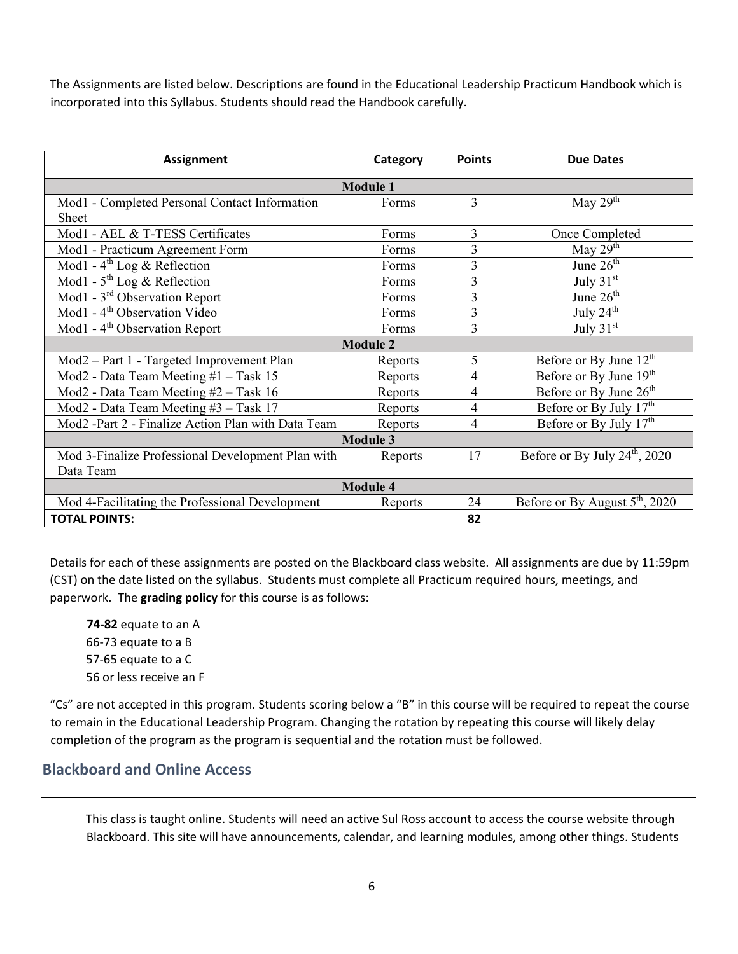The Assignments are listed below. Descriptions are found in the Educational Leadership Practicum Handbook which is incorporated into this Syllabus. Students should read the Handbook carefully.

| <b>Assignment</b>                                  | Category | <b>Points</b>  | <b>Due Dates</b>                           |
|----------------------------------------------------|----------|----------------|--------------------------------------------|
| <b>Module 1</b>                                    |          |                |                                            |
| Mod1 - Completed Personal Contact Information      | Forms    | 3              | May $29th$                                 |
| <b>Sheet</b>                                       |          |                |                                            |
| Mod1 - AEL & T-TESS Certificates                   | Forms    | 3              | Once Completed                             |
| Mod1 - Practicum Agreement Form                    | Forms    | $\overline{3}$ | May $29th$                                 |
| Mod1 - $4^{\text{th}}$ Log & Reflection            | Forms    | 3              | June $26th$                                |
| Mod1 - $5^{\text{th}}$ Log & Reflection            | Forms    | 3              | July $31st$                                |
| Mod1 - 3 <sup>rd</sup> Observation Report          | Forms    | 3              | June 26 <sup>th</sup>                      |
| Mod1 - 4 <sup>th</sup> Observation Video           | Forms    | $\overline{3}$ | July 24 <sup>th</sup>                      |
| Mod1 - $4th$ Observation Report                    | Forms    | 3              | July $31st$                                |
| <b>Module 2</b>                                    |          |                |                                            |
| Mod2 - Part 1 - Targeted Improvement Plan          | Reports  | 5              | Before or By June $12^{th}$                |
| Mod2 - Data Team Meeting #1 - Task 15              | Reports  | 4              | Before or By June 19 <sup>th</sup>         |
| Mod2 - Data Team Meeting #2 - Task 16              | Reports  | 4              | Before or By June 26 <sup>th</sup>         |
| Mod2 - Data Team Meeting #3 - Task 17              | Reports  | 4              | Before or By July $17th$                   |
| Mod2 -Part 2 - Finalize Action Plan with Data Team | Reports  | 4              | Before or By July $17th$                   |
| <b>Module 3</b>                                    |          |                |                                            |
| Mod 3-Finalize Professional Development Plan with  | Reports  | 17             | Before or By July $24th$ , 2020            |
| Data Team                                          |          |                |                                            |
| <b>Module 4</b>                                    |          |                |                                            |
| Mod 4-Facilitating the Professional Development    | Reports  | 24             | Before or By August 5 <sup>th</sup> , 2020 |
| <b>TOTAL POINTS:</b>                               |          | 82             |                                            |

Details for each of these assignments are posted on the Blackboard class website. All assignments are due by 11:59pm (CST) on the date listed on the syllabus. Students must complete all Practicum required hours, meetings, and paperwork. The **grading policy** for this course is as follows:

**‐82** equate to an A ‐73 equate to a B ‐65 equate to a C or less receive an F

"Cs" are not accepted in this program. Students scoring below a "B" in this course will be required to repeat the course to remain in the Educational Leadership Program. Changing the rotation by repeating this course will likely delay completion of the program as the program is sequential and the rotation must be followed.

### **Blackboard and Online Access**

This class is taught online. Students will need an active Sul Ross account to access the course website through Blackboard. This site will have announcements, calendar, and learning modules, among other things. Students